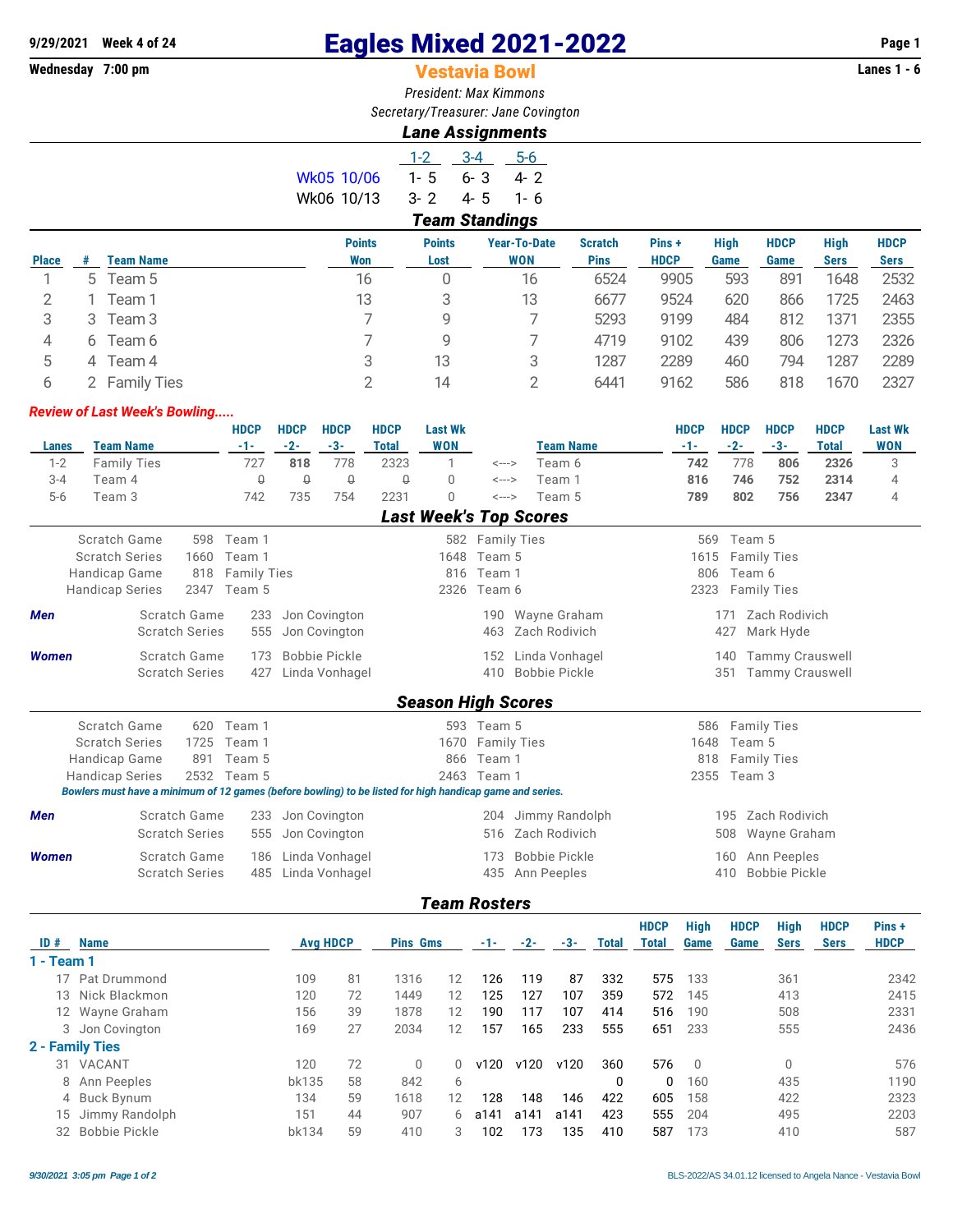# **9/29/2021 Week 4 of 24 Eagles Mixed 2021-2022 Page 1**

# **Vestavia Bowl**

*President: Max Kimmons Secretary/Treasurer: Jane Covington*

## *Lane Assignments*

|            | $1-2$   | $3 - 4$               | $5 - 6$ |
|------------|---------|-----------------------|---------|
| Wk05 10/06 | $1 - 5$ | 6-3                   | 4- 2    |
| Wk06 10/13 | $3 - 2$ | 4-5                   | 1-6     |
|            |         | <b>Team Standings</b> |         |

| <b>Place</b> |   | <b>Team Name</b> | <b>Points</b><br>Won | <b>Points</b><br>Lost | <b>Year-To-Date</b><br><b>WON</b> | <b>Scratch</b><br><b>Pins</b> | Pins+<br><b>HDCP</b> | <b>High</b><br>Game | <b>HDCP</b><br>Game | <b>High</b><br><b>Sers</b> | <b>HDCP</b><br><b>Sers</b> |
|--------------|---|------------------|----------------------|-----------------------|-----------------------------------|-------------------------------|----------------------|---------------------|---------------------|----------------------------|----------------------------|
|              | 5 | Team 5           | 16                   | 0                     | 16                                | 6524                          | 9905                 | 593                 | 891                 | 1648                       | 2532                       |
|              |   | Team 1           | 13                   | 3                     | 13                                | 6677                          | 9524                 | 620                 | 866                 | 1725                       | 2463                       |
| 3            | 3 | Team 3           |                      | 9                     |                                   | 5293                          | 9199                 | 484                 | 812                 | 1371                       | 2355                       |
| 4            | 6 | Team 6           |                      | 9                     |                                   | 4719                          | 9102                 | 439                 | 806                 | 1273                       | 2326                       |
| 5            | 4 | Team 4           | 3                    | 13                    | 3                                 | 1287                          | 2289                 | 460                 | 794                 | 1287                       | 2289                       |
|              |   | 2 Family Ties    |                      | 14                    |                                   | 6441                          | 9162                 | 586                 | 818                 | 1670                       | 2327                       |
|              |   |                  |                      |                       |                                   |                               |                      |                     |                     |                            |                            |

#### *Review of Last Week's Bowling.....*

| Lanes        | <b>Team Name</b>                                                                                         |                       |      | <b>HDCP</b><br>$-1-$ | <b>HDCP</b><br>$-2-$ | <b>HDCP</b><br>$-3-$ | <b>HDCP</b><br><b>Total</b> | <b>Last Wk</b><br><b>WON</b> |                    | <b>Team Name</b>              | <b>HDCP</b><br>$-1-$ | <b>HDCP</b><br>$-2-$ | <b>HDCP</b><br>$-3-$   | <b>HDCP</b><br><b>Total</b> | <b>Last Wk</b><br><b>WON</b> |
|--------------|----------------------------------------------------------------------------------------------------------|-----------------------|------|----------------------|----------------------|----------------------|-----------------------------|------------------------------|--------------------|-------------------------------|----------------------|----------------------|------------------------|-----------------------------|------------------------------|
| $1 - 2$      | <b>Family Ties</b>                                                                                       |                       |      | 727                  | 818                  | 778                  | 2323                        | 1                            | <--->              | Team 6                        | 742                  | 778                  | 806                    | 2326                        | 3                            |
| $3 - 4$      | Team 4                                                                                                   |                       |      | Q                    | $\theta$             | $\theta$             | $\theta$                    | $\Omega$                     | <--->              | Team 1                        | 816                  | 746                  | 752                    | 2314                        | 4                            |
| $5-6$        | Team 3                                                                                                   |                       |      | 742                  | 735                  | 754                  | 2231                        | $\Omega$                     | <--->              | Team 5                        | 789                  | 802                  | 756                    | 2347                        | 4                            |
|              |                                                                                                          |                       |      |                      |                      |                      |                             |                              |                    | <b>Last Week's Top Scores</b> |                      |                      |                        |                             |                              |
|              |                                                                                                          |                       |      |                      |                      |                      |                             |                              |                    |                               |                      |                      |                        |                             |                              |
|              | Scratch Game                                                                                             |                       | 598  | Team 1               |                      |                      |                             |                              | 582 Family Ties    |                               | 569                  | Team 5               |                        |                             |                              |
|              | <b>Scratch Series</b>                                                                                    |                       | 1660 | Team 1               |                      |                      |                             | 1648                         | Team 5             |                               | 1615                 |                      | <b>Family Ties</b>     |                             |                              |
|              | Handicap Game                                                                                            |                       | 818  | <b>Family Ties</b>   |                      |                      |                             | 816                          | Team 1             |                               | 806                  | Team 6               |                        |                             |                              |
|              | <b>Handicap Series</b>                                                                                   |                       | 2347 | Team 5               |                      |                      |                             | 2326                         | Team 6             |                               | 2323                 |                      | <b>Family Ties</b>     |                             |                              |
| <b>Men</b>   |                                                                                                          | Scratch Game          |      | 233                  |                      | Jon Covington        |                             |                              | 190                | Wayne Graham                  |                      | 171                  | Zach Rodivich          |                             |                              |
|              |                                                                                                          | <b>Scratch Series</b> |      | 555                  |                      | Jon Covington        |                             |                              | 463                | Zach Rodivich                 |                      | 427                  | Mark Hyde              |                             |                              |
| <b>Women</b> |                                                                                                          | Scratch Game          |      | 173                  |                      | <b>Bobbie Pickle</b> |                             |                              | 152                | Linda Vonhagel                |                      | 140                  | <b>Tammy Crauswell</b> |                             |                              |
|              |                                                                                                          | <b>Scratch Series</b> |      | 427                  |                      | Linda Vonhagel       |                             |                              | 410                | Bobbie Pickle                 |                      | 351                  | <b>Tammy Crauswell</b> |                             |                              |
|              |                                                                                                          |                       |      |                      |                      |                      |                             |                              |                    |                               |                      |                      |                        |                             |                              |
|              |                                                                                                          |                       |      |                      |                      |                      |                             | <b>Season High Scores</b>    |                    |                               |                      |                      |                        |                             |                              |
|              | Scratch Game                                                                                             |                       | 620  | Team 1               |                      |                      |                             |                              | 593 Team 5         |                               | 586                  |                      | <b>Family Ties</b>     |                             |                              |
|              | <b>Scratch Series</b>                                                                                    |                       | 1725 | Team 1               |                      |                      |                             | 1670                         | <b>Family Ties</b> |                               | 1648                 | Team 5               |                        |                             |                              |
|              | Handicap Game                                                                                            |                       | 891  | Team 5               |                      |                      |                             | 866                          | Team 1             |                               | 818                  |                      | <b>Family Ties</b>     |                             |                              |
|              | <b>Handicap Series</b>                                                                                   |                       |      | 2532 Team 5          |                      |                      |                             |                              | 2463 Team 1        |                               |                      | 2355 Team 3          |                        |                             |                              |
|              | Bowlers must have a minimum of 12 games (before bowling) to be listed for high handicap game and series. |                       |      |                      |                      |                      |                             |                              |                    |                               |                      |                      |                        |                             |                              |
| <b>Men</b>   |                                                                                                          | Scratch Game          |      | 233                  |                      | Jon Covington        |                             |                              | 204                | Jimmy Randolph                |                      | 195                  | Zach Rodivich          |                             |                              |
|              |                                                                                                          | <b>Scratch Series</b> |      | 555                  |                      | Jon Covington        |                             |                              | 516                | Zach Rodivich                 |                      | 508                  | Wayne Graham           |                             |                              |
|              |                                                                                                          |                       |      |                      |                      |                      |                             |                              |                    |                               |                      |                      |                        |                             |                              |
| <b>Women</b> |                                                                                                          | Scratch Game          |      | 186                  |                      | Linda Vonhagel       |                             |                              | 173                | <b>Bobbie Pickle</b>          |                      | 160                  | Ann Peeples            |                             |                              |
|              |                                                                                                          | <b>Scratch Series</b> |      | 485                  |                      | Linda Vonhagel       |                             |                              | 435                | Ann Peeples                   |                      | 410                  | <b>Bobbie Pickle</b>   |                             |                              |

### *Team Rosters*

| ID#        | <b>Name</b>       | <b>Avg HDCP</b> |    | <b>Pins Gms</b> |                   | $-1-$ | $-2-$ | -3-  | <b>Total</b> | <b>HDCP</b><br>Total | <b>High</b><br>Game | <b>HDCP</b><br>Game | High<br><b>Sers</b> | <b>HDCP</b><br><b>Sers</b> | Pins+<br><b>HDCP</b> |
|------------|-------------------|-----------------|----|-----------------|-------------------|-------|-------|------|--------------|----------------------|---------------------|---------------------|---------------------|----------------------------|----------------------|
| 1 - Team 1 |                   |                 |    |                 |                   |       |       |      |              |                      |                     |                     |                     |                            |                      |
|            | 17 Pat Drummond   | 109             | 81 | 1316            | 12                | 126   | 119   | 87   | 332          | 575                  | 133                 |                     | 361                 |                            | 2342                 |
|            | 13 Nick Blackmon  | 120             | 72 | 1449            | 12                | 125   | 127   | 107  | 359          | 572                  | 145                 |                     | 413                 |                            | 2415                 |
|            | 12 Wayne Graham   | 156             | 39 | 1878            | 12                | 190   | 117   | 107  | 414          | 516                  | 190                 |                     | 508                 |                            | 2331                 |
|            | 3 Jon Covington   | 169             | 27 | 2034            | $12 \overline{ }$ | 157   | 165   | 233  | 555          | 651                  | 233                 |                     | 555                 |                            | 2436                 |
|            | 2 - Family Ties   |                 |    |                 |                   |       |       |      |              |                      |                     |                     |                     |                            |                      |
| 31         | VACANT            | 120             | 72 | $\Omega$        | U                 | v120  | v120  | v120 | 360          | 576                  | $\overline{0}$      |                     | 0                   |                            | 576                  |
|            | 8 Ann Peeples     | bk135           | 58 | 842             | 6                 |       |       |      | 0            | <sup>n</sup>         | 160                 |                     | 435                 |                            | 1190                 |
|            | 4 Buck Bynum      | 134             | 59 | 1618            | $12 \overline{ }$ | 128   | 148   | 146  | 422          | 605                  | 158                 |                     | 422                 |                            | 2323                 |
|            | 15 Jimmy Randolph | 151             | 44 | 907             | 6                 | a141  | a141  | a141 | 423          | 555                  | 204                 |                     | 495                 |                            | 2203                 |
|            | 32 Bobbie Pickle  | bk134           | 59 | 410             | 3                 | 102   | 173   | 135  | 410          | 587                  | 173                 |                     | 410                 |                            | 587                  |
|            |                   |                 |    |                 |                   |       |       |      |              |                      |                     |                     |                     |                            |                      |